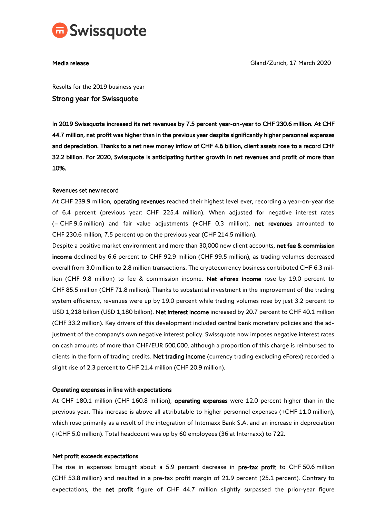

Results for the 2019 business year

# Strong year for Swissquote

In 2019 Swissquote increased its net revenues by 7.5 percent year-on-year to CHF 230.6 million. At CHF 44.7 million, net profit was higher than in the previous year despite significantly higher personnel expenses and depreciation. Thanks to a net new money inflow of CHF 4.6 billion, client assets rose to a record CHF 32.2 billion. For 2020, Swissquote is anticipating further growth in net revenues and profit of more than 10%.

#### Revenues set new record

At CHF 239.9 million, operating revenues reached their highest level ever, recording a year-on-year rise of 6.4 percent (previous year: CHF 225.4 million). When adjusted for negative interest rates (– CHF 9.5 million) and fair value adjustments (+CHF 0.3 million), net revenues amounted to CHF 230.6 million, 7.5 percent up on the previous year (CHF 214.5 million).

Despite a positive market environment and more than 30,000 new client accounts, net fee & commission income declined by 6.6 percent to CHF 92.9 million (CHF 99.5 million), as trading volumes decreased overall from 3.0 million to 2.8 million transactions. The cryptocurrency business contributed CHF 6.3 million (CHF 9.8 million) to fee & commission income. Net eForex income rose by 19.0 percent to CHF 85.5 million (CHF 71.8 million). Thanks to substantial investment in the improvement of the trading system efficiency, revenues were up by 19.0 percent while trading volumes rose by just 3.2 percent to USD 1,218 billion (USD 1,180 billion). Net interest income increased by 20.7 percent to CHF 40.1 million (CHF 33.2 million). Key drivers of this development included central bank monetary policies and the adjustment of the company's own negative interest policy. Swissquote now imposes negative interest rates on cash amounts of more than CHF/EUR 500,000, although a proportion of this charge is reimbursed to clients in the form of trading credits. Net trading income (currency trading excluding eForex) recorded a slight rise of 2.3 percent to CHF 21.4 million (CHF 20.9 million).

#### Operating expenses in line with expectations

At CHF 180.1 million (CHF 160.8 million), operating expenses were 12.0 percent higher than in the previous year. This increase is above all attributable to higher personnel expenses (+CHF 11.0 million), which rose primarily as a result of the integration of Internaxx Bank S.A. and an increase in depreciation (+CHF 5.0 million). Total headcount was up by 60 employees (36 at Internaxx) to 722.

#### Net profit exceeds expectations

The rise in expenses brought about a 5.9 percent decrease in pre-tax profit to CHF 50.6 million (CHF 53.8 million) and resulted in a pre-tax profit margin of 21.9 percent (25.1 percent). Contrary to expectations, the net profit figure of CHF 44.7 million slightly surpassed the prior-year figure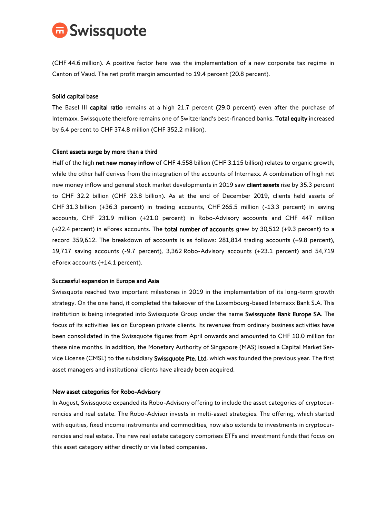

(CHF 44.6 million). A positive factor here was the implementation of a new corporate tax regime in Canton of Vaud. The net profit margin amounted to 19.4 percent (20.8 percent).

#### Solid capital base

The Basel III capital ratio remains at a high 21.7 percent (29.0 percent) even after the purchase of Internaxx. Swissquote therefore remains one of Switzerland's best-financed banks. Total equity increased by 6.4 percent to CHF 374.8 million (CHF 352.2 million).

#### Client assets surge by more than a third

Half of the high net new money inflow of CHF 4.558 billion (CHF 3.115 billion) relates to organic growth, while the other half derives from the integration of the accounts of Internaxx. A combination of high net new money inflow and general stock market developments in 2019 saw client assets rise by 35.3 percent to CHF 32.2 billion (CHF 23.8 billion). As at the end of December 2019, clients held assets of CHF 31.3 billion (+36.3 percent) in trading accounts, CHF 265.5 million (-13.3 percent) in saving accounts, CHF 231.9 million (+21.0 percent) in Robo-Advisory accounts and CHF 447 million (+22.4 percent) in eForex accounts. The total number of accounts grew by 30,512 (+9.3 percent) to a record 359,612. The breakdown of accounts is as follows: 281,814 trading accounts (+9.8 percent), 19,717 saving accounts (-9.7 percent), 3,362 Robo-Advisory accounts (+23.1 percent) and 54,719 eForex accounts (+14.1 percent).

#### Successful expansion in Europe and Asia

Swissquote reached two important milestones in 2019 in the implementation of its long-term growth strategy. On the one hand, it completed the takeover of the Luxembourg-based Internaxx Bank S.A. This institution is being integrated into Swissquote Group under the name Swissquote Bank Europe SA. The focus of its activities lies on European private clients. Its revenues from ordinary business activities have been consolidated in the Swissquote figures from April onwards and amounted to CHF 10.0 million for these nine months. In addition, the Monetary Authority of Singapore (MAS) issued a Capital Market Service License (CMSL) to the subsidiary Swissquote Pte. Ltd, which was founded the previous year. The first asset managers and institutional clients have already been acquired.

#### New asset categories for Robo-Advisory

In August, Swissquote expanded its Robo-Advisory offering to include the asset categories of cryptocurrencies and real estate. The Robo-Advisor invests in multi-asset strategies. The offering, which started with equities, fixed income instruments and commodities, now also extends to investments in cryptocurrencies and real estate. The new real estate category comprises ETFs and investment funds that focus on this asset category either directly or via listed companies.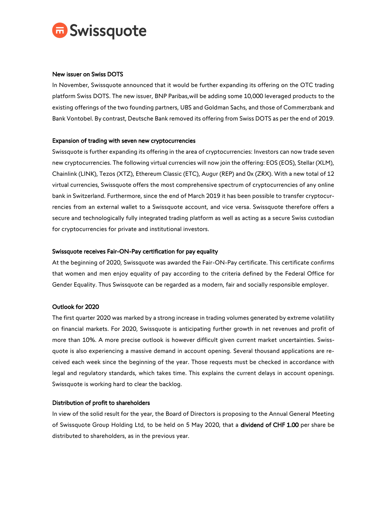

#### New issuer on Swiss DOTS

In November, Swissquote announced that it would be further expanding its offering on the OTC trading platform Swiss DOTS. The new issuer, BNP Paribas,will be adding some 10,000 leveraged products to the existing offerings of the two founding partners, UBS and Goldman Sachs, and those of Commerzbank and Bank Vontobel. By contrast, Deutsche Bank removed its offering from Swiss DOTS as per the end of 2019.

## Expansion of trading with seven new cryptocurrencies

Swissquote is further expanding its offering in the area of cryptocurrencies: Investors can now trade seven new cryptocurrencies. The following virtual currencies will now join the offering: EOS (EOS), Stellar (XLM), Chainlink (LINK), Tezos (XTZ), Ethereum Classic (ETC), Augur (REP) and 0x (ZRX). With a new total of 12 virtual currencies, Swissquote offers the most comprehensive spectrum of cryptocurrencies of any online bank in Switzerland. Furthermore, since the end of March 2019 it has been possible to transfer cryptocurrencies from an external wallet to a Swissquote account, and vice versa. Swissquote therefore offers a secure and technologically fully integrated trading platform as well as acting as a secure Swiss custodian for cryptocurrencies for private and institutional investors.

## Swissquote receives Fair-ON-Pay certification for pay equality

At the beginning of 2020, Swissquote was awarded the Fair-ON-Pay certificate. This certificate confirms that women and men enjoy equality of pay according to the criteria defined by the Federal Office for Gender Equality. Thus Swissquote can be regarded as a modern, fair and socially responsible employer.

## Outlook for 2020

The first quarter 2020 was marked by a strong increase in trading volumes generated by extreme volatility on financial markets. For 2020, Swissquote is anticipating further growth in net revenues and profit of more than 10%. A more precise outlook is however difficult given current market uncertainties. Swissquote is also experiencing a massive demand in account opening. Several thousand applications are received each week since the beginning of the year. Those requests must be checked in accordance with legal and regulatory standards, which takes time. This explains the current delays in account openings. Swissquote is working hard to clear the backlog.

#### Distribution of profit to shareholders

In view of the solid result for the year, the Board of Directors is proposing to the Annual General Meeting of Swissquote Group Holding Ltd, to be held on 5 May 2020, that a dividend of CHF 1.00 per share be distributed to shareholders, as in the previous year.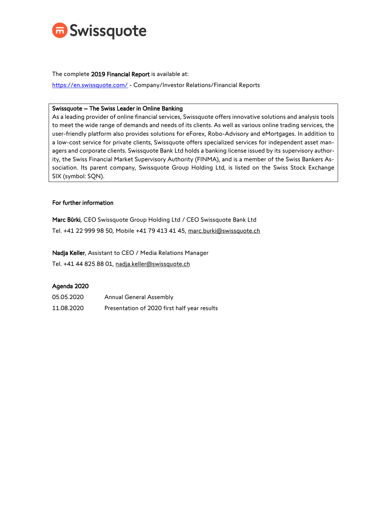

## The complete 2019 Financial Report is available at:

<https://en.swissquote.com/> - Company/Investor Relations/Financial Reports

## Swissquote – The Swiss Leader in Online Banking

As a leading provider of online financial services, Swissquote offers innovative solutions and analysis tools to meet the wide range of demands and needs of its clients. As well as various online trading services, the user-friendly platform also provides solutions for eForex, Robo-Advisory and eMortgages. In addition to a low-cost service for private clients, Swissquote offers specialized services for independent asset managers and corporate clients. Swissquote Bank Ltd holds a banking license issued by its supervisory authority, the Swiss Financial Market Supervisory Authority (FINMA), and is a member of the Swiss Bankers Association. Its parent company, Swissquote Group Holding Ltd, is listed on the Swiss Stock Exchange SIX (symbol: SQN).

## For further information

Marc Bürki, CEO Swissquote Group Holding Ltd / CEO Swissquote Bank Ltd Tel. +41 22 999 98 50, Mobile +41 79 413 41 45, [marc.burki@swissquote.ch](mailto:marc.burki@swissquote.ch)

Nadja Keller, Assistant to CEO / Media Relations Manager

Tel. +41 44 825 88 01, [nadja.keller@swissquote.ch](mailto:nadja.keller@swissquote.ch)

## Agenda 2020

| 05.05.2020 | <b>Annual General Assembly</b>               |
|------------|----------------------------------------------|
| 11.08.2020 | Presentation of 2020 first half year results |